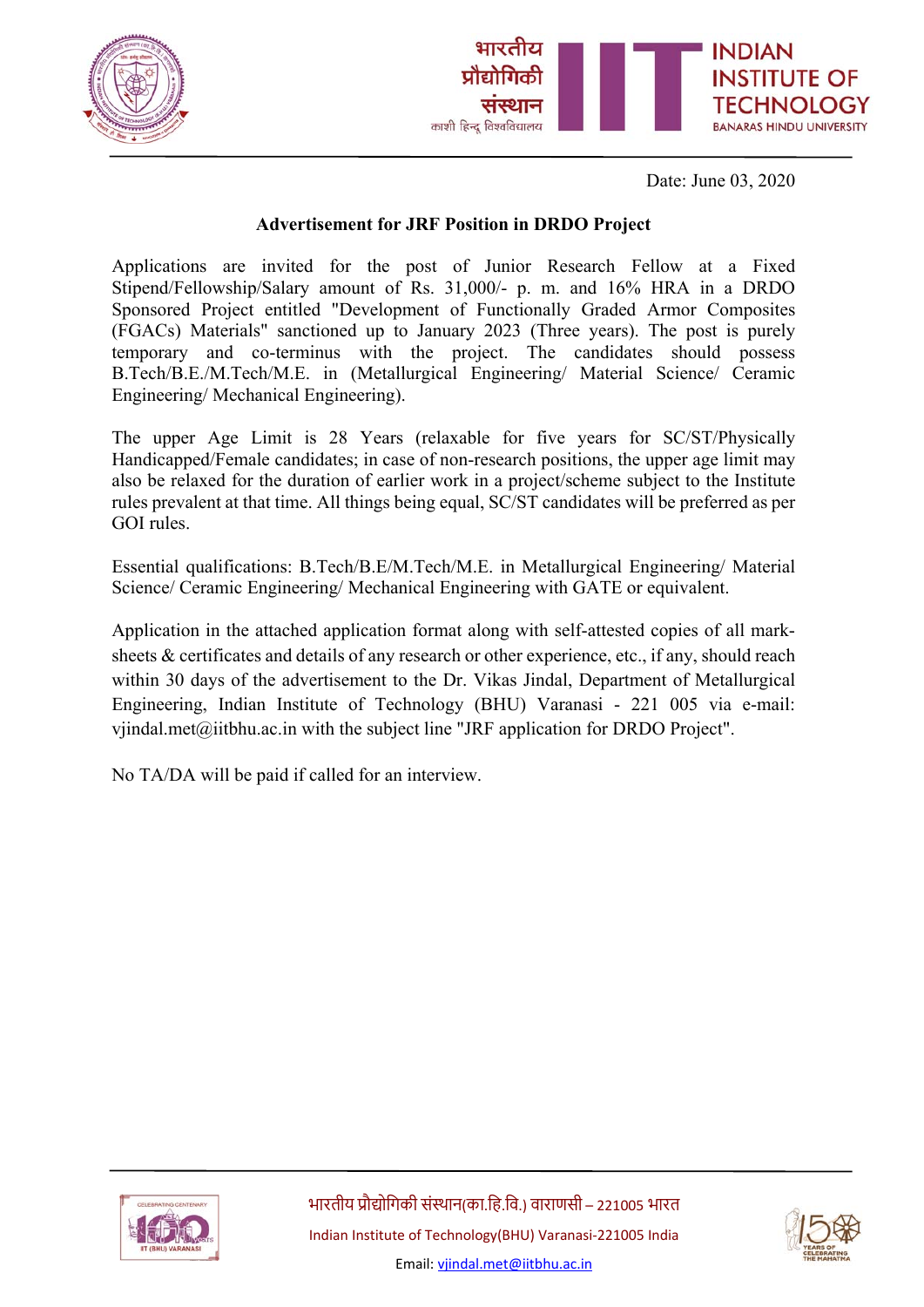



Date: June 03, 2020

## **Advertisement for JRF Position in DRDO Project**

Applications are invited for the post of Junior Research Fellow at a Fixed Stipend/Fellowship/Salary amount of Rs. 31,000/- p. m. and 16% HRA in a DRDO Sponsored Project entitled "Development of Functionally Graded Armor Composites (FGACs) Materials" sanctioned up to January 2023 (Three years). The post is purely temporary and co-terminus with the project. The candidates should possess B.Tech/B.E./M.Tech/M.E. in (Metallurgical Engineering/ Material Science/ Ceramic Engineering/ Mechanical Engineering).

The upper Age Limit is 28 Years (relaxable for five years for SC/ST/Physically Handicapped/Female candidates; in case of non-research positions, the upper age limit may also be relaxed for the duration of earlier work in a project/scheme subject to the Institute rules prevalent at that time. All things being equal, SC/ST candidates will be preferred as per GOI rules.

Essential qualifications: B.Tech/B.E/M.Tech/M.E. in Metallurgical Engineering/ Material Science/ Ceramic Engineering/ Mechanical Engineering with GATE or equivalent.

Application in the attached application format along with self-attested copies of all marksheets & certificates and details of any research or other experience, etc., if any, should reach within 30 days of the advertisement to the Dr. Vikas Jindal, Department of Metallurgical Engineering, Indian Institute of Technology (BHU) Varanasi - 221 005 via e-mail: vjindal.met@iitbhu.ac.in with the subject line "JRF application for DRDO Project".

No TA/DA will be paid if called for an interview.